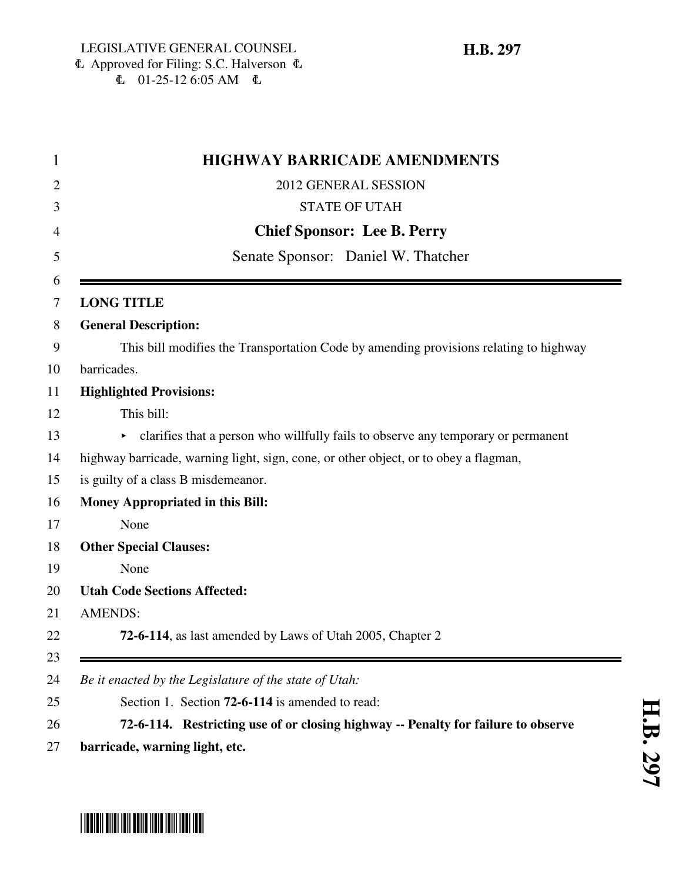| <b>HIGHWAY BARRICADE AMENDMENTS</b> |                                                                                       |
|-------------------------------------|---------------------------------------------------------------------------------------|
|                                     | 2012 GENERAL SESSION                                                                  |
|                                     | <b>STATE OF UTAH</b>                                                                  |
|                                     | <b>Chief Sponsor: Lee B. Perry</b>                                                    |
| Senate Sponsor: Daniel W. Thatcher  |                                                                                       |
|                                     | <b>LONG TITLE</b>                                                                     |
|                                     | <b>General Description:</b>                                                           |
|                                     | This bill modifies the Transportation Code by amending provisions relating to highway |
|                                     | barricades.                                                                           |
|                                     | <b>Highlighted Provisions:</b>                                                        |
|                                     | This bill:                                                                            |
|                                     | clarifies that a person who willfully fails to observe any temporary or permanent     |
|                                     | highway barricade, warning light, sign, cone, or other object, or to obey a flagman,  |
|                                     | is guilty of a class B misdemeanor.                                                   |
|                                     | <b>Money Appropriated in this Bill:</b>                                               |
|                                     | None                                                                                  |
|                                     | <b>Other Special Clauses:</b>                                                         |
|                                     | None                                                                                  |
|                                     | <b>Utah Code Sections Affected:</b>                                                   |
|                                     | <b>AMENDS:</b>                                                                        |
|                                     | 72-6-114, as last amended by Laws of Utah 2005, Chapter 2                             |
|                                     | Be it enacted by the Legislature of the state of Utah:                                |
|                                     | Section 1. Section 72-6-114 is amended to read:                                       |
|                                     | 72-6-114. Restricting use of or closing highway -- Penalty for failure to observe     |